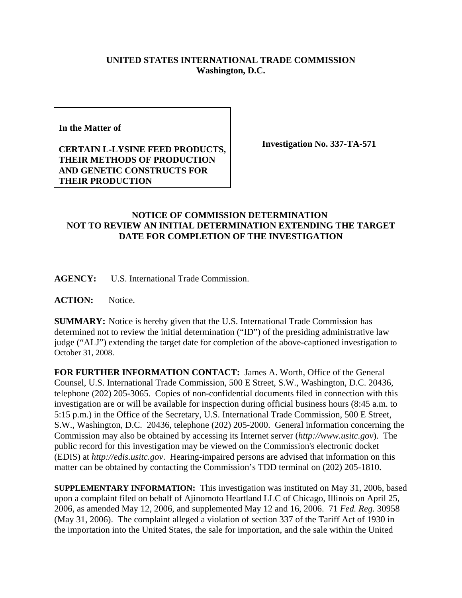## **UNITED STATES INTERNATIONAL TRADE COMMISSION Washington, D.C.**

**In the Matter of**

## **CERTAIN L-LYSINE FEED PRODUCTS, THEIR METHODS OF PRODUCTION AND GENETIC CONSTRUCTS FOR THEIR PRODUCTION**

**Investigation No. 337-TA-571**

## **NOTICE OF COMMISSION DETERMINATION NOT TO REVIEW AN INITIAL DETERMINATION EXTENDING THE TARGET DATE FOR COMPLETION OF THE INVESTIGATION**

**AGENCY:** U.S. International Trade Commission.

**ACTION:** Notice.

**SUMMARY:** Notice is hereby given that the U.S. International Trade Commission has determined not to review the initial determination ("ID") of the presiding administrative law judge ("ALJ") extending the target date for completion of the above-captioned investigation to October 31, 2008.

**FOR FURTHER INFORMATION CONTACT:** James A. Worth, Office of the General Counsel, U.S. International Trade Commission, 500 E Street, S.W., Washington, D.C. 20436, telephone (202) 205-3065. Copies of non-confidential documents filed in connection with this investigation are or will be available for inspection during official business hours (8:45 a.m. to 5:15 p.m.) in the Office of the Secretary, U.S. International Trade Commission, 500 E Street, S.W., Washington, D.C. 20436, telephone (202) 205-2000. General information concerning the Commission may also be obtained by accessing its Internet server (*http://www.usitc.gov*). The public record for this investigation may be viewed on the Commission's electronic docket (EDIS) at *http://edis.usitc.gov*. Hearing-impaired persons are advised that information on this matter can be obtained by contacting the Commission's TDD terminal on (202) 205-1810.

**SUPPLEMENTARY INFORMATION:** This investigation was instituted on May 31, 2006, based upon a complaint filed on behalf of Ajinomoto Heartland LLC of Chicago, Illinois on April 25, 2006, as amended May 12, 2006, and supplemented May 12 and 16, 2006. 71 *Fed. Reg.* 30958 (May 31, 2006). The complaint alleged a violation of section 337 of the Tariff Act of 1930 in the importation into the United States, the sale for importation, and the sale within the United